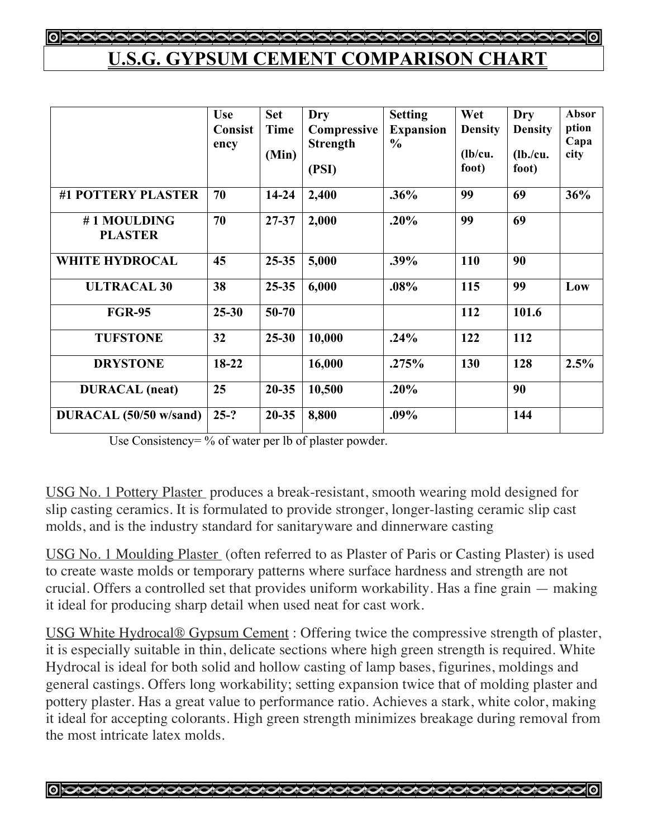## **U.S.G. GYPSUM CEMENT COMPARISON CHART**

|                               | <b>Use</b><br><b>Consist</b><br>ency | <b>Set</b><br><b>Time</b><br>(Min) | Dry<br>Compressive<br><b>Strength</b><br>(PSI) | <b>Setting</b><br><b>Expansion</b><br>$\frac{0}{0}$ | Wet<br><b>Density</b><br>(lb/cu.<br>foot) | Dry<br><b>Density</b><br>(lb./cu.<br>foot) | Absor<br>ption<br>Capa<br>city |
|-------------------------------|--------------------------------------|------------------------------------|------------------------------------------------|-----------------------------------------------------|-------------------------------------------|--------------------------------------------|--------------------------------|
| #1 POTTERY PLASTER            | 70                                   | $14 - 24$                          | 2,400                                          | .36%                                                | 99                                        | 69                                         | 36%                            |
| #1 MOULDING<br><b>PLASTER</b> | 70                                   | 27-37                              | 2,000                                          | .20%                                                | 99                                        | 69                                         |                                |
| <b>WHITE HYDROCAL</b>         | 45                                   | $25 - 35$                          | 5,000                                          | .39%                                                | 110                                       | 90                                         |                                |
| <b>ULTRACAL 30</b>            | 38                                   | $25 - 35$                          | 6,000                                          | .08%                                                | 115                                       | 99                                         | Low                            |
| <b>FGR-95</b>                 | $25 - 30$                            | $50 - 70$                          |                                                |                                                     | 112                                       | 101.6                                      |                                |
| <b>TUFSTONE</b>               | 32                                   | $25 - 30$                          | 10,000                                         | .24%                                                | 122                                       | 112                                        |                                |
| <b>DRYSTONE</b>               | $18-22$                              |                                    | 16,000                                         | .275%                                               | 130                                       | 128                                        | 2.5%                           |
| <b>DURACAL</b> (neat)         | 25                                   | $20 - 35$                          | 10,500                                         | .20%                                                |                                           | 90                                         |                                |
| DURACAL (50/50 w/sand)        | $25-?$                               | $20 - 35$                          | 8,800                                          | .09%                                                |                                           | 144                                        |                                |

Use Consistency= % of water per lb of plaster powder.

USG No. 1 Pottery Plaster produces a break-resistant, smooth wearing mold designed for slip casting ceramics. It is formulated to provide stronger, longer-lasting ceramic slip cast molds, and is the industry standard for sanitaryware and dinnerware casting

USG No. 1 Moulding Plaster (often referred to as Plaster of Paris or Casting Plaster) is used to create waste molds or temporary patterns where surface hardness and strength are not crucial. Offers a controlled set that provides uniform workability. Has a fine grain — making it ideal for producing sharp detail when used neat for cast work.

USG White Hydrocal® Gypsum Cement : Offering twice the compressive strength of plaster, it is especially suitable in thin, delicate sections where high green strength is required. White Hydrocal is ideal for both solid and hollow casting of lamp bases, figurines, moldings and general castings. Offers long workability; setting expansion twice that of molding plaster and pottery plaster. Has a great value to performance ratio. Achieves a stark, white color, making it ideal for accepting colorants. High green strength minimizes breakage during removal from the most intricate latex molds.